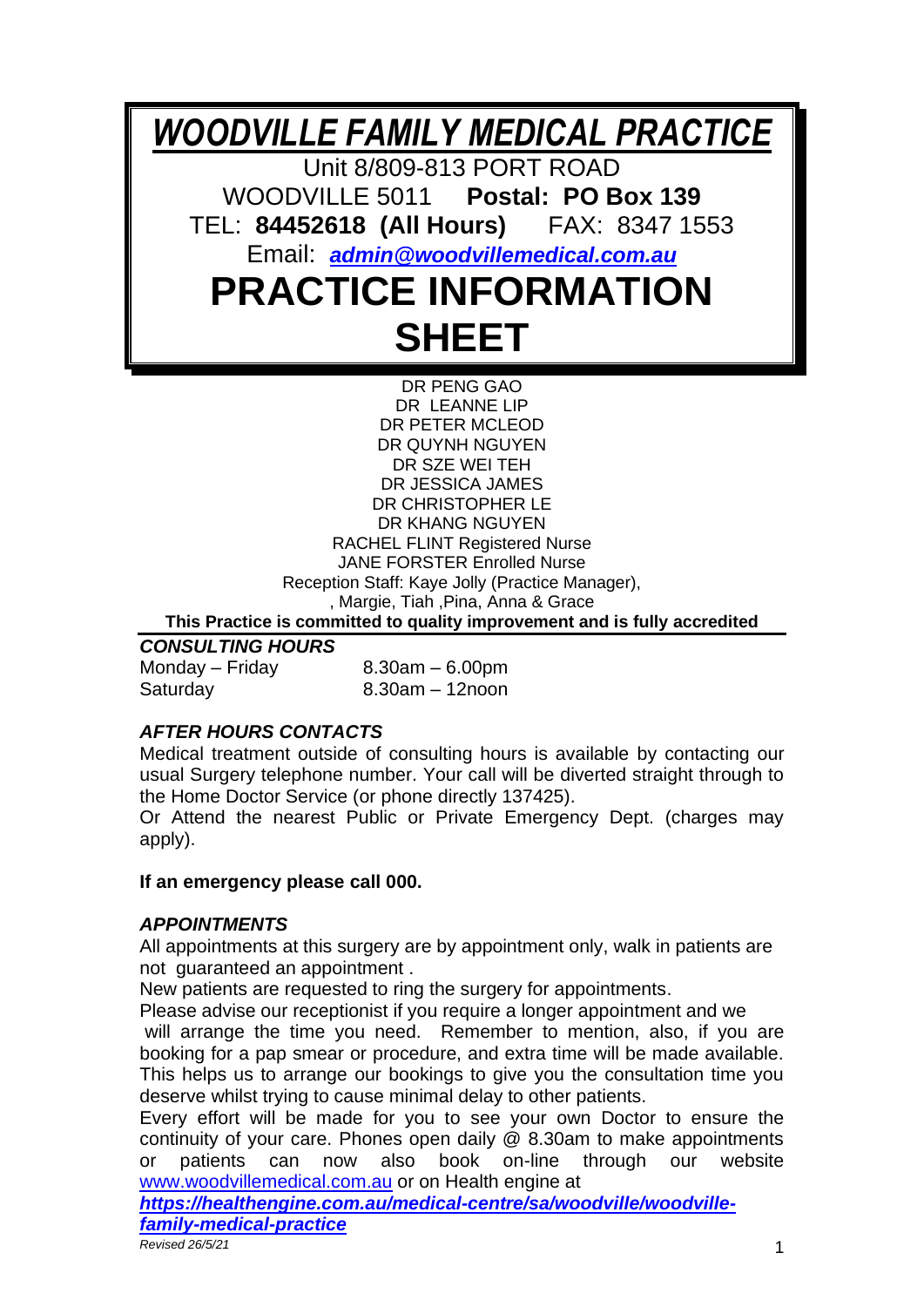*WOODVILLE FAMILY MEDICAL PRACTICE*

Unit 8/809-813 PORT ROAD WOODVILLE 5011 **Postal: PO Box 139**

TEL: **84452618 (All Hours)** FAX: 8347 1553

Email:*[admin@woodvillemedical.com.au](mailto:admin@woodvillemedical.com.au)*

# **PRACTICE INFORMATION SHEET**

DR PENG GAO DR LEANNE LIP DR PETER MCLEOD DR QUYNH NGUYEN DR SZE WEI TEH DR JESSICA JAMES DR CHRISTOPHER LE DR KHANG NGUYEN RACHEL FLINT Registered Nurse JANE FORSTER Enrolled Nurse Reception Staff: Kaye Jolly (Practice Manager), , Margie, Tiah ,Pina, Anna & Grace **This Practice is committed to quality improvement and is fully accredited** 

*CONSULTING HOURS* Monday – Friday  $8.30$ am – 6.00pm

Saturday 8.30am – 12noon

# *AFTER HOURS CONTACTS*

Medical treatment outside of consulting hours is available by contacting our usual Surgery telephone number. Your call will be diverted straight through to the Home Doctor Service (or phone directly 137425).

Or Attend the nearest Public or Private Emergency Dept. (charges may apply).

# **If an emergency please call 000.**

# *APPOINTMENTS*

All appointments at this surgery are by appointment only, walk in patients are not guaranteed an appointment .

New patients are requested to ring the surgery for appointments.

Please advise our receptionist if you require a longer appointment and we will arrange the time you need. Remember to mention, also, if you are booking for a pap smear or procedure, and extra time will be made available. This helps us to arrange our bookings to give you the consultation time you deserve whilst trying to cause minimal delay to other patients.

Every effort will be made for you to see your own Doctor to ensure the continuity of your care. Phones open daily @ 8.30am to make appointments or patients can now also book on-line through our website [www.woodvillemedical.com.au](http://www.woodvillemedical.com.au/) or on Health engine at

*[https://healthengine.com.au/medical-centre/sa/woodville/woodville](https://healthengine.com.au/medical-centre/sa/woodville/woodville-family-medical-practice)[family-medical-practice](https://healthengine.com.au/medical-centre/sa/woodville/woodville-family-medical-practice)*

*Revised 26/5/21* 1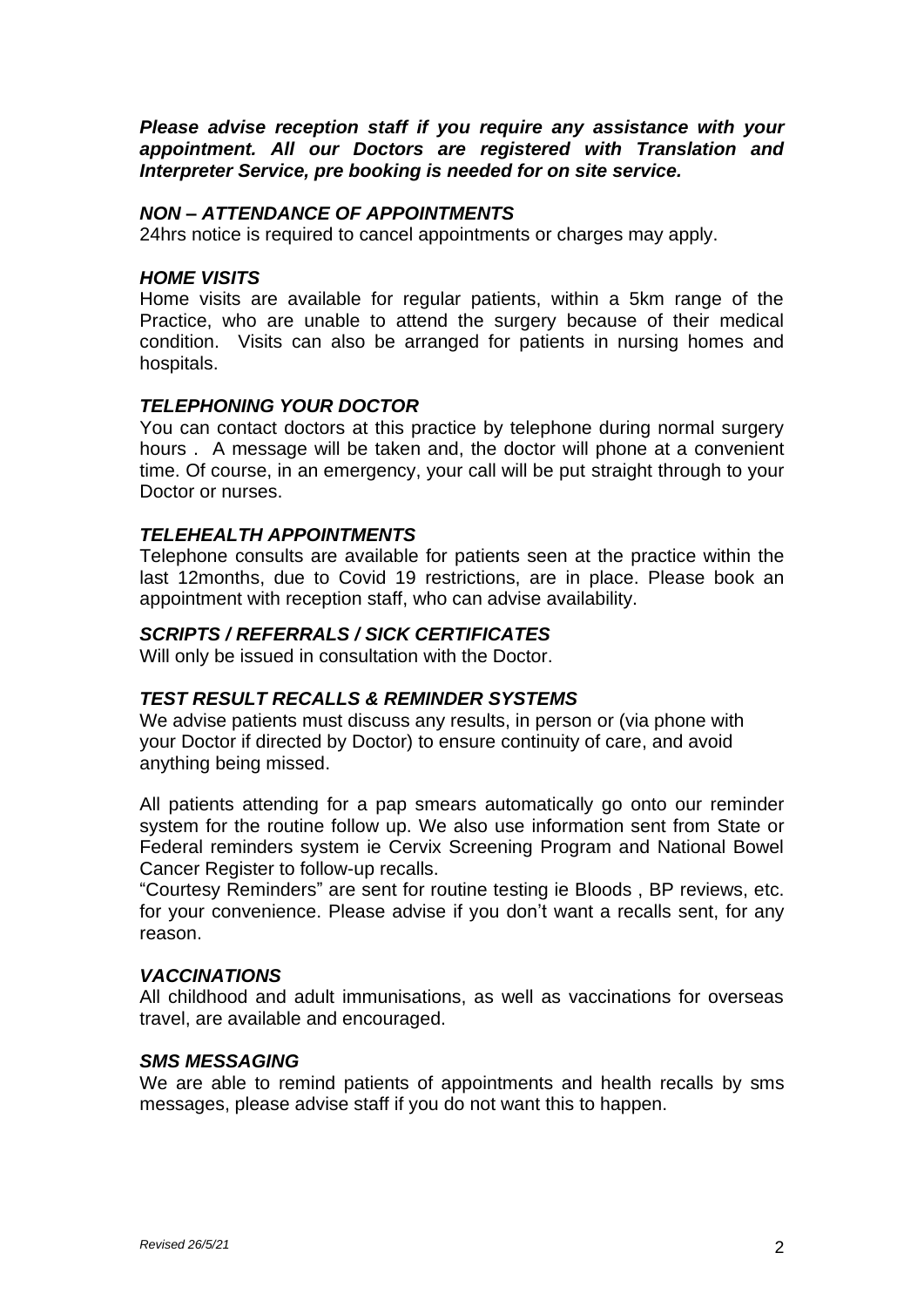*Please advise reception staff if you require any assistance with your appointment. All our Doctors are registered with Translation and Interpreter Service, pre booking is needed for on site service.*

## *NON – ATTENDANCE OF APPOINTMENTS*

24hrs notice is required to cancel appointments or charges may apply.

### *HOME VISITS*

Home visits are available for regular patients, within a 5km range of the Practice, who are unable to attend the surgery because of their medical condition. Visits can also be arranged for patients in nursing homes and hospitals.

## *TELEPHONING YOUR DOCTOR*

You can contact doctors at this practice by telephone during normal surgery hours . A message will be taken and, the doctor will phone at a convenient time. Of course, in an emergency, your call will be put straight through to your Doctor or nurses.

## *TELEHEALTH APPOINTMENTS*

Telephone consults are available for patients seen at the practice within the last 12months, due to Covid 19 restrictions, are in place. Please book an appointment with reception staff, who can advise availability.

### *SCRIPTS / REFERRALS / SICK CERTIFICATES*

Will only be issued in consultation with the Doctor.

### *TEST RESULT RECALLS & REMINDER SYSTEMS*

We advise patients must discuss any results, in person or (via phone with your Doctor if directed by Doctor) to ensure continuity of care, and avoid anything being missed.

All patients attending for a pap smears automatically go onto our reminder system for the routine follow up. We also use information sent from State or Federal reminders system ie Cervix Screening Program and National Bowel Cancer Register to follow-up recalls.

"Courtesy Reminders" are sent for routine testing ie Bloods , BP reviews, etc. for your convenience. Please advise if you don't want a recalls sent, for any reason.

### *VACCINATIONS*

All childhood and adult immunisations, as well as vaccinations for overseas travel, are available and encouraged.

### *SMS MESSAGING*

We are able to remind patients of appointments and health recalls by sms messages, please advise staff if you do not want this to happen.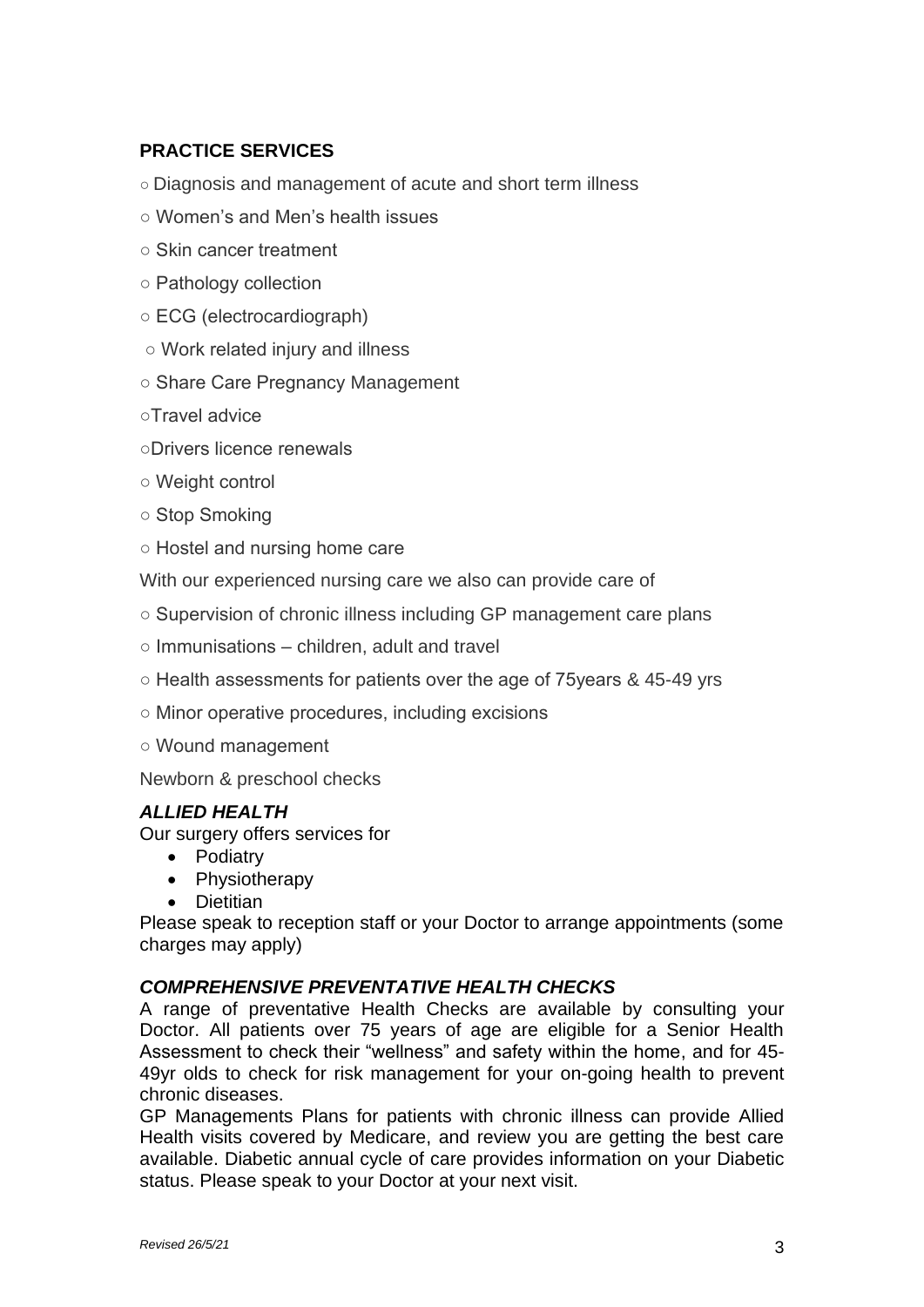# **PRACTICE SERVICES**

- Diagnosis and management of acute and short term illness
- Women's and Men's health issues
- Skin cancer treatment
- Pathology collection
- ECG (electrocardiograph)
- Work related injury and illness
- Share Care Pregnancy Management
- ○Travel advice
- ○Drivers licence renewals
- Weight control
- Stop Smoking
- Hostel and nursing home care

With our experienced nursing care we also can provide care of

- Supervision of chronic illness including GP management care plans
- Immunisations children, adult and travel
- Health assessments for patients over the age of 75years & 45-49 yrs
- Minor operative procedures, including excisions
- Wound management

Newborn & preschool checks

# *ALLIED HEALTH*

Our surgery offers services for

- Podiatry
- Physiotherapy
- Dietitian

Please speak to reception staff or your Doctor to arrange appointments (some charges may apply)

# *COMPREHENSIVE PREVENTATIVE HEALTH CHECKS*

A range of preventative Health Checks are available by consulting your Doctor. All patients over 75 years of age are eligible for a Senior Health Assessment to check their "wellness" and safety within the home, and for 45- 49yr olds to check for risk management for your on-going health to prevent chronic diseases.

GP Managements Plans for patients with chronic illness can provide Allied Health visits covered by Medicare, and review you are getting the best care available. Diabetic annual cycle of care provides information on your Diabetic status. Please speak to your Doctor at your next visit.